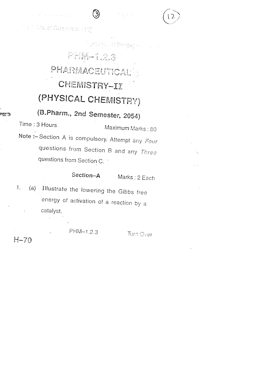: 1. No. ef Questiona : 10)

## yfi Mulof Prategory PAM-123 PHARIMACEUTICAL **CHEMISTRY-II** (PHYSICAL CHEMISTRY)

ි)

(B.Pharm., 2nd Semester, 2054) Time: 3 Hours Maximum Marks: 80 Note :- Section A is compulsory. Attempt any Four questions from Section B and any Three questions from Section C.

## Section-A

Marks: 2 Each

(a) Illustrate the lowering the Gibbs free  $\mathbf{1}$ . energy of activation of a reaction by a catalyst.

 $H-70$ 

≂ಪಾಣ

PHM-1.2.3

Turn Over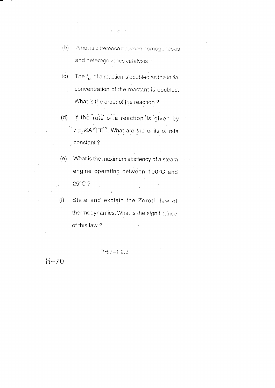- The  $t_{1/2}$  of a reaction is doubled as the initial  $(c)$ concentration of the reactant is doubled. What is the order of the reaction?
- If the rate of a reaction is given by  $(d)$  $r = k[A]^2[B]^{1/2}$ . What are the units of rate g constant?
- What is the maximum efficiency of a steam  $(e)$ engine operating between 100°C and 25°C?
- State and explain the Zeroth law of  $(f)$ thermodynamics. What is the significance of this law?

PHM-1.2.3

 $H - 70$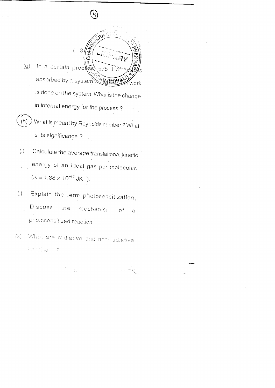In a certain process  $(g)$ 675.1 absorbed by a system well my .<br>Work is done on the system. What is the change in internal energy for the process? What is meant by Reynolds number? What  $(h)$ is its significance?

 $\sqrt{4}$ 

Calculate the average translational kinetic  $(i)$ energy of an ideal gas per molecular.  $(K = 1.38 \times 10^{-23} \text{ JK}^{-1}).$ 

Explain the term photosensitization.  $\langle j \rangle$ Discuss the mechanism of.  $\alpha$ photosensitized reaction.

What are radiative and non-radiative  $(k)$ transition : ?

en kannen.<br>Index and a series of the CAS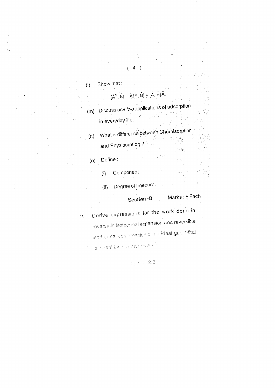Show that:  $\left(\mathbf{l}\right)$ 

## $[\hat{A}^2, \hat{B}] = \hat{A}[\hat{A}, \hat{B}] + [\hat{A}, \hat{B}]\hat{A}.$

 $4)$ 

Discuss any two applications of adsorption  $(m)$ in everyday life.

 $\overline{\phantom{a}}$ 

What is difference between Chemisorption  $(n)$ 

and Physisorption?

(o) Define:

 $\frac{1}{2}$ 

- Component  $(i)$
- Degree of freedom.  $(ii)$

Marks: 5 Each Section-B

Derive expressions for the work done in  $2.$ reversible isothermal expansion and reversible isothermal compression of an ideal gas. What

is meant by maximum work?

 $\varphi_{\rm eff}$  and  $2.3$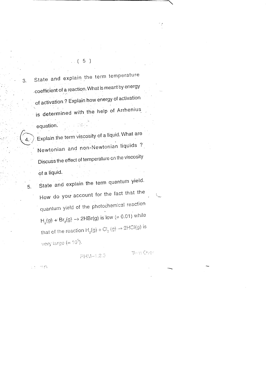$(5)$ 

State and explain the term temperature coefficient of a reaction. What is meant by energy of activation ? Explain how energy of activation is determined with the help of Arrhenius equation. artes d

Explain the term viscosity of a liquid. What are Newtonian and non-Newtonian liquids? Discuss the effect of temperature on the viscosity of a liquid.

State and explain the term quantum yield. How do you account for the fact that the quantum yield of the photochemical reaction  $H_2(g) + Br_2(g) \to 2HBr(g)$  is low (= 0.01) while that of the reaction  $H_2(g) + Cl_2(g) \rightarrow 2HCl(g)$  is very large  $(=10^5)$ .

PHM-1.2.3

min Over

وموارده

3.

 $\overline{4}$ .

5.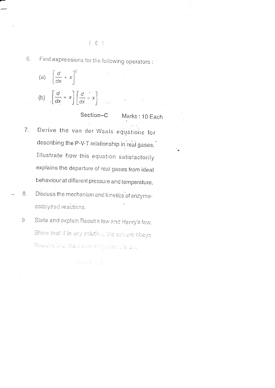Find expressions for the following operators: 6.



Section-C Marks: 10 Each

- Derive the van der Waals equations for  $7.$ describing the P-V-T relationship in real gases. Illustrate how this equation satisfactorily explains the departure of real gases from ideal behaviour at different pressure and temperature.
- Discuss the mechanism and kinetics of enzyme-8. catalyzed reactions.
	- State and explain Raoult's law and Henry's law.  $9.$ Show that if in any solution, the selvent obeys Raoults law, the solute oftery Henry's and

RAGE-103

 $(6)$